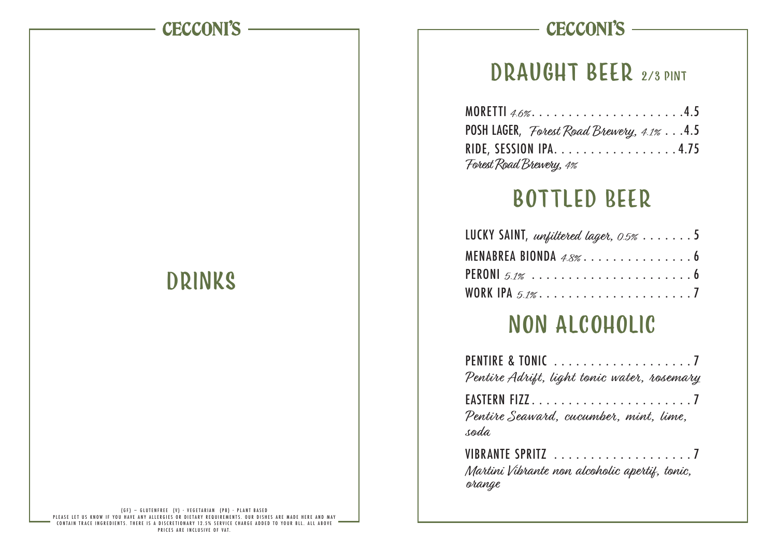#### **CECCONI'S**

# Drinks

#### PLEASE LET US KNOW IF YOU (GF) — GLUTENFREE (V) - VEGETARIAN (PB) - PLANT BASED<br>PLEASE LET US KNOW IF YOU HAVE ANY ALLERGIES OR DIETARY REQUIREMENTS. OUR DISHES ARE MADE HERE AND MAY<br>CONTAIN TRACE INGREDIENTS. THERE IS A D PRICES ARE INCLUSIVE OF VAT.

## **CECCONI'S -**

# DRAUGHT BEER 2/3 PINT

| MORETTI $4.6\%$ 4.5                       |  |
|-------------------------------------------|--|
| POSH LAGER, Forest Road Brewery, 4.1% 4.5 |  |
| RIDE, SESSION IPA. 4.75                   |  |
| Forest Road Brewery, 4%                   |  |

# bottled Beer

| LUCKY SAINT, unfiltered lager, $0.5\% \ldots \ldots .5$ |  |
|---------------------------------------------------------|--|
| MENABREA BIONDA $4.8\%$ 6                               |  |
|                                                         |  |
| WORK IPA 5.1%7                                          |  |

# non alcoholic

| Pentire Adrift, light tonic water, rosemary |  |
|---------------------------------------------|--|
| EASTERN FIZZ7                               |  |
| Pentire Seaward, cucumber, mint, lime,      |  |
| soda                                        |  |
| VIBRANTE SPRITZ 7                           |  |

Martini Vibrante non alcoholic apertif, tonic, orange